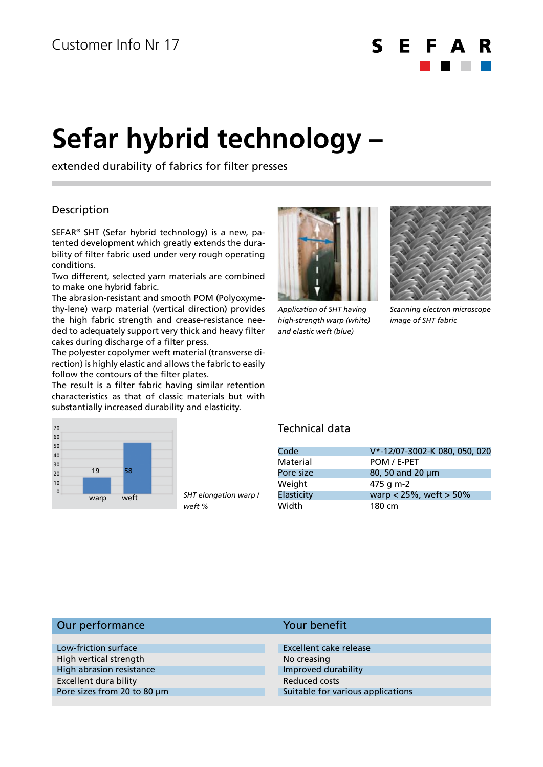$\mathsf{S}$ E. E

# **Sefar hybrid technology –**

extended durability of fabrics for filter presses

## Description

SEFAR® SHT (Sefar hybrid technology) is a new, patented development which greatly extends the durability of filter fabric used under very rough operating conditions.

Two different, selected yarn materials are combined to make one hybrid fabric.

The abrasion-resistant and smooth POM (Polyoxymethy-lene) warp material (vertical direction) provides the high fabric strength and crease-resistance needed to adequately support very thick and heavy filter cakes during discharge of a filter press.

The polyester copolymer weft material (transverse direction) is highly elastic and allows the fabric to easily follow the contours of the filter plates.

The result is a filter fabric having similar retention characteristics as that of classic materials but with substantially increased durability and elasticity.



*SHT elongation warp / weft %*



*Application of SHT having high-strength warp (white) and elastic weft (blue)*



*Scanning electron microscope image of SHT fabric*

### Technical data

Your benefit

| Code              | V*-12/07-3002-K 080, 050, 020 |
|-------------------|-------------------------------|
| Material          | POM / E-PET                   |
| Pore size         | 80, 50 and 20 µm              |
| Weight            | 475 g m-2                     |
| <b>Elasticity</b> | warp < $25%$ , weft > $50%$   |
| Width             | 180 cm                        |

#### Our performance

| Low-friction surface        | Excellent cake release            |
|-----------------------------|-----------------------------------|
| High vertical strength      | No creasing                       |
| High abrasion resistance    | Improved durability               |
| Excellent dura bility       | Reduced costs                     |
| Pore sizes from 20 to 80 µm | Suitable for various applications |
|                             |                                   |